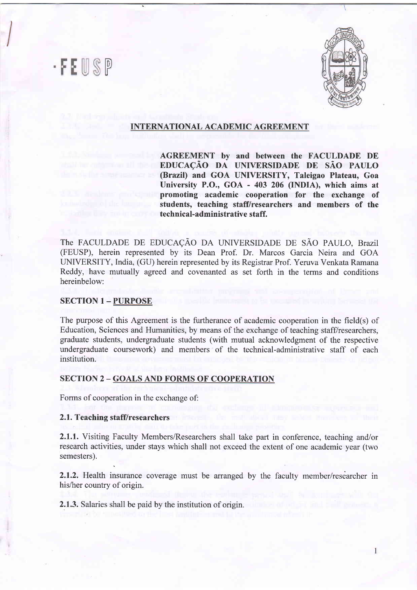## $|0\rangle$ F



#### INTERNATIONAL ACADEMIC AGREEMENT

AGREEMENT by and between the FACULDADE DE EDUCAÇÃO DA UNIVERSIDADE DE SÃO PAULO (Brazil) and GOA UNIVERSITY, Taleigao Plateau, Goa University P.O., GOA - 403 206 (INDIA), which aims at promoting academic cooperation for the exchange of students, teaching staff/researchers and members of the technical-administrative staff.

The FACULDADE DE EDUCAÇÃO DA UNIVERSIDADE DE SÃO PAULO, Brazil (FEUSP), herein represented by its Dean Prof. Dr. Marcos Garcia Neira and GOA UNIVERSITY, India, (GU) herein represented by its Registrar Prof. Yeruva Venkata Ramana Reddy, have mutually agreed and covenanted as set forth in the terms and conditions hereinbelow:

#### **SECTION 1 - PURPOSE**

The purpose of this Agreement is the furtherance of academic cooperation in the field(s) of Education, Sciences and Humanities, by means of the exchange of teaching staff/researchers, graduate students, undergraduate students (with mutual acknowledgment of the respective undergraduate coursework) and members of the technical-administrative staff of each institution.

#### SECTION 2 - GOALS AND FORMS OF COOPERATION

Forms of cooperation in the exchange of:

#### 2.1. Teaching staff/researchers

2.1.1. Visiting Faculty Members/Researchers shall take part in conference, teaching and/or research activities, under stays which shall not exceed the extent of one academic year (two semesters).

2.1.2. Health insurance coverage must be arranged by the faculty member/researcher in his/her country of origin.

2.1.3. Salaries shall be paid by the institution of origin.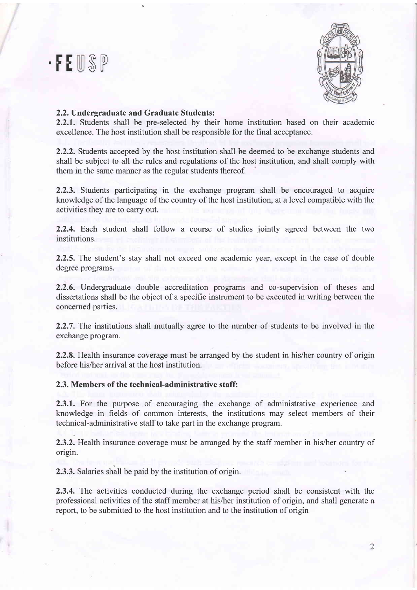## $\cdot$ FEUSP



#### 2,2. Undergraduate and Graduate Students:

2.2.1. Students shall be pre-selected by their home institution based on their academic excellence. The host institution shall be responsible for the final acceptance.

2.2.2. Students accepted by the host institution shall be deemed to be exchange students and shall be subject to all the rules and regulations of the host institution, and shall comply with them in the same manner as the regular students thereof.

2.2.3. Students participating in the exchange program shall be encouraged to acquire knowledge of the language of the country of the host institution, at a level compatible with the activities they are to carry out.

2.2.4. Each student shall follow a course of studies jointly agreed between the two institutions.

2.2.5. The student's stay shall not exceed one academic year, except in the case of double degree programs.

2.2.6. Undergraduate double accreditation programs and co-supervision of theses and dissertations shall be the object of a specific instrument to be executed in writing between the concerned parties.

2.2.7. The institutions shall mutually agree to the number of students to be involved in the exchange program.

2.2.8. Health insurance coverage must be arranged by the student in his/her country of origin before his/her arrival at the host institution.

2.3. Members of the technical-administrative staff:

2.3.1. For the purpose of encouraging the exchange of administrative experience and knowledge in fields of common interests, the institutions may select members of their technical-administrative staff to take part in the exchange program.

2.3.2. Health insurance coverage must be arranged by the staff member in his/her country of origin.

2.3.3. Salaries shall be paid by the institution of origin.

2.3.4. The activities conducted during the exchange period shall be consistent with the professional activities of the staff member at his/her institution of origin, and shall generate a report, to be submitted to the host institution and to the institution of origin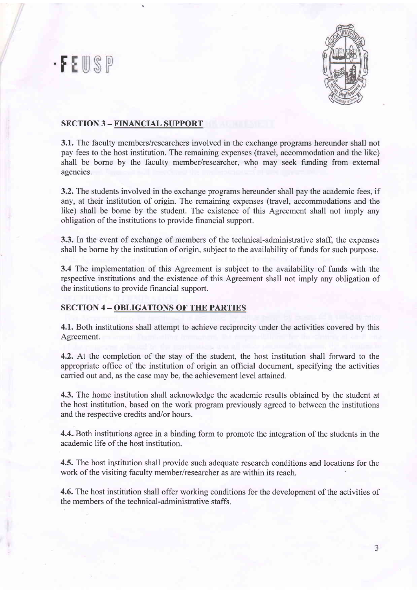## .F



### SECTION 3 - FINANCIAL SUPPORT

3.1. The faculty members/researchers involved in the exchange programs hereunder shall not pay fees to the host institution. The remaining expenses (travel, accommodation and the like) shall be borne by the faculty member/researcher, who may seek funding from extemal agencies.

3.2. The students involved in the exchange programs hereunder shall pay the academic fees, if any, at their institution of origin. The remaining expenses (travel, accommodations and the like) shall be borne by the student. The existence of this Agreement shall not imply any obligation of the institutions to provide financial support.

3.3. In the event of exchange of members of the technical-administrative staff, the expenses shall be borne by the institution of origin, subject to the availability of funds for such purpose.

3.4 The implementation of this Agreement is subject to the availability of funds with the rgspective institutions and the existence of this Agreement shall not imply any obligation of the institutions to provide financial support.

#### **SECTION 4 - OBLIGATIONS OF THE PARTIES**

4.1. Both institutions shall attempt to achieve reciprocity under the activities covered by this Agreement.

4.2. At the completion of the stay of the student, the host institution shall forward to the appropriate office of the institution of origin an offrcial document, specifying the activities carried out and, as the case may be, the achievement level attained.

4.3. The home institution shall acknowledge the academic results obtained by the student at the host institution, based on the work program previously agreed to between the institutions and the respective credits and/or hours.

4.4..Both institutions agree in a binding form to promote the integration of the students in the academic life of the host institution.

4.5. The host institution shall provide such adequate research conditions and locations for the work of the visiting faculty member/researcher as are within its reach.

4.6. The host institution shall offer working conditions for the development of the activities of the members of the technical-administrative staffs.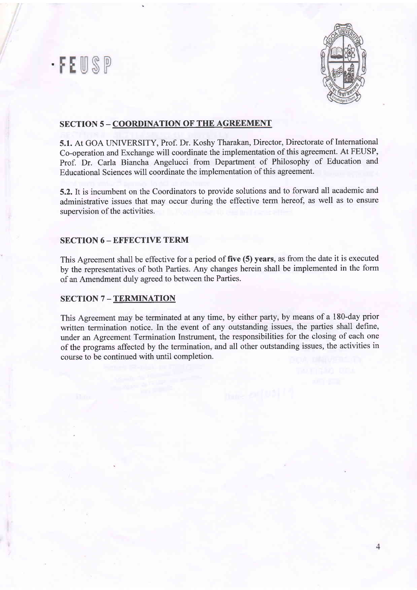## · FEUSP



## SECTION 5 - COORDINATION OF THE AGREEMENT

5.1. At GOA UNIVERSITY, Prof. Dr. Koshy Tharakan, Director, Directorate of International Co-operation and Exchange will coordinate the implementation of this agreement. At FEUSP, Prof. Dr. Carla Biancha Angelucci from Department of Philosophy of Education and Educational Sciences will coordinate the implementation of this agreement.

5.2.lt is incumbent on the Coordinators to provide solutions and to forward all academic and administrative issues that may occur during the effective term hereof, as well as to ensure supervision of the activities.

### **SECTION 6 - EFFECTIVE TERM**

This Agreement shall be effective for a period of five (5) years, as from the date it is executed by the representatives of both Parties. Any changes herein shall be implemented in the form of an Amendment duly agreed to between the Parties.

### **SECTION 7 - TERMINATION**

This Agreement may be terminated at any time, by either party, by means of a 180-day prior written termination notice. In the event of any outstanding issues, the parties shall define, under an Agreement Termination Instrument, the responsibilities for the closing of each one of the programs affected by the termination, and all other outstanding issues, the activities in course to be continued with until completion.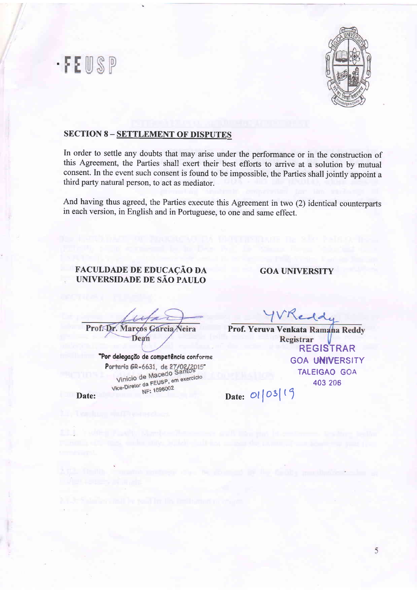



### **SECTION 8 - SETTLEMENT OF DISPUTES**

In order to settle any doubts that may arise under the performance or in the construction of this Agreement, the Parties shall exert their best efforts to arrive at a solution by mutual consent. In the event such consent is found to be impossible, the Parties shall jointly appoint <sup>a</sup> third party natural person, to act as mediator.

And having thus agreed, the Parties execute this Agreement in two (2) identical counterparts in each version, in English and in Portuguese, to one and same effect.

## FACULDADE DE EDUCAÇÃO DA UNIVERSIDADE DE SAO PAULO

GOA UNIVERSITY

Prof. Dr. Marcos Gai Veira Dean

"Por delegação de competência conforme Portaria GR-6631, de 27/02/2015<br>Vinicio de Macedo Santos Vinicio de Macedo Santos<br>Vice-Diretor da FEUSP, em exercício<br>Nice-Diretor <sub>NF: 1696002</sub> NF: 1696002

Date:

Redd

GOA UNIVERSITY TALEIGAO GOA 403 206 Prof. Yeruva Venkata Ramana Reddy<br>Registrar REGISTRAR

Date:  $\mathcal{O}l$  |  $\mathcal{O}3$  |  $\mathcal{O}5$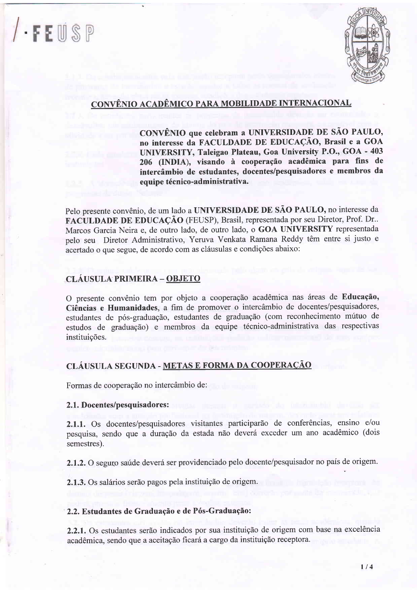# l . FEUSP



## CONVÊNIO ACADÊMICO PARA MOBILIDADE INTERNACIONAL

CONVÊNIO que celebram a UNIVERSIDADE DE SÃO PAULO, no interesse da FACULDADE DE EDUCAQAO, Brasil e a GOA UNIVERSITY, Taleigao Plateau, Goa University P.O., GOA - 403 206 (INDIA), visando à cooperação acadêmica para fins de intercâmbio de estudantes, docentes/pesquisadores e membros da equipe técnico-administrativa.

Pelo presente convênio, de um lado a UNIVERSIDADE DE SÃO PAULO, no interesse da FACULDADE DE EDUCAÇÃO (FEUSP), Brasil, representada por seu Diretor, Prof. Dr.. Marcos Garcia Neira e, de outro lado, de outro lado, o GOA UNIVERSITY representada pelo seu Diretor Administrativo, Yeruva Venkata Ramana Reddy têm entre si justo e acertado o que segue, de acordo com as cláusulas e condições abaixo:

## CLÁUSULA PRIMEIRA - OBJETO

O presente convênio tem por objeto a cooperação acadêmica nas áreas de Educação, Ciências e Humanidades, a fim de promover o intercâmbio de docentes/pesquisadores, estudantes de pós-graduação, estudantes de graduação (com reconhecimento mútuo de estudos de graduação) e membros da equipe técnico-administrativa das respectivas instituig6es.

## CLAUSULA SEGUNDA - METAS E FORMA DA COOPERACAO

Formas de cooperação no intercâmbio de:

### 2.1. Docentes/pesquisadores :

2.1.1. Os docentes/pesquisadores visitantes participarão de conferências, ensino e/ou pesquisa, sendo que a duração da estada não deverá exceder um ano acadêmico (dois semestres).

2.1.2. O seguro saúde deverá ser providenciado pelo docente/pesquisador no país de origem.

2.1.3. Os salários serão pagos pela instituição de origem.

### 2.2. Estudantes de Graduação e de Pós-Graduação:

2.2.1. Os estudantes serão indicados por sua instituição de origem com base na excelência acadêmica, sendo que a aceitação ficará a cargo da instituição receptora.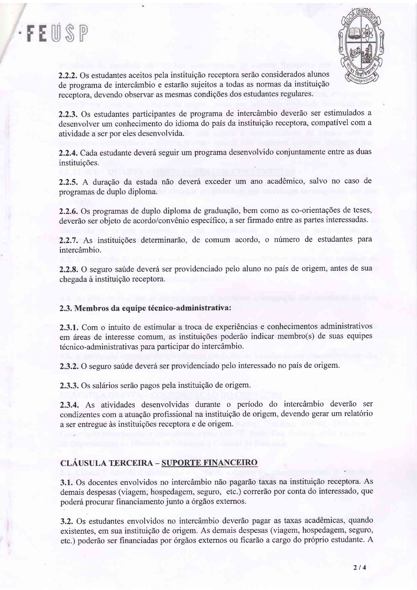



2.2.2. Os estudantes aceitos pela instituição receptora serão considerados alunos de programa de intercâmbio e estarão sujeitos a todas as normas da instituição receptora, devendo observar as mesmas condigdes dos esfudantes regulares.

2.2.3. Os estudantes participantes de programa de intercâmbio deverão ser estimulados a desenvolver um conhecimento do idioma do pais da instituigdo receptora, compativel com a atividade a ser por eles desenvolvida.

2.2.4. Cada estudante deverá seguir um programa desenvolvido conjuntamente entre as duas instituições.

2.2.5. A duração da estada não deverá exceder um ano acadêmico, salvo no caso de programas de duplo diploma.

2.2.6. Os programas de duplo diploma de graduação, bem como as co-orientações de teses, deverão ser objeto de acordo/convênio específico, a ser firmado entre as partes interessadas.

2.2.7. As instituições determinarão, de comum acordo, o número de estudantes para intercâmbio.

2.2.8. O seguro saúde deverá ser providenciado pelo aluno no país de origem, antes de sua chegada à instituição receptora.

#### 2.3. Membros da equipe técnico-administrativa:

2.3.1. Com o intuito de estimular a troca de experiências e conhecimentos administrativos em áreas de interesse comum, as instituições poderão indicar membro(s) de suas equipes técnico-administrativas para participar do intercâmbio.

2.3.2. O seguro saúde deverá ser providenciado pelo interessado no país de origem.

2.3.3. Os salários serão pagos pela instituição de origem.

2.3.4. As atividades desenvolvidas durante o período do intercâmbio deverão ser condizentes com a atuação profissional na instituição de origem, devendo gerar um relatório a ser entregue às instituições receptora e de origem.

#### CLÁUSULA TERCEIRA - SUPORTE FINANCEIRO

3.1. Os docentes envolvidos no intercâmbio não pagarão taxas na instituição receptora. As demais despesas (viagem, hospedagem, seguro, etc.) correrão por conta do interessado, que poderá procurar financiamento junto a órgãos externos.

3.2. Os estudantes envolvidos no intercâmbio deverão pagar as taxas acadêmicas, quando existentes, em sua instituição de origem. As demais despesas (viagem, hospedagem, seguro, etc.) poderão ser financiadas por órgãos externos ou ficarão a cargo do próprio estudante. A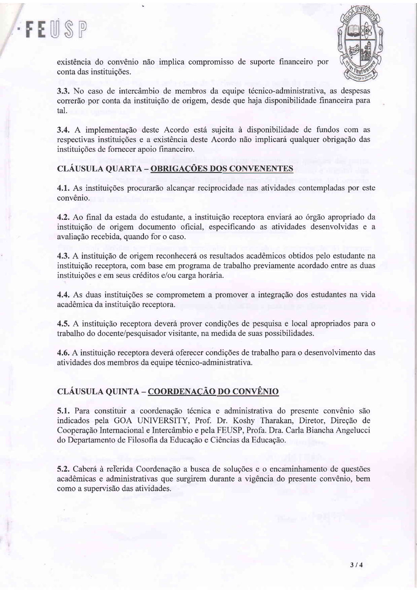



existência do convênio não implica compromisso de suporte financeiro por conta das instituições.

3.3. No caso de intercâmbio de membros da equipe técnico-administrativa, as despesas correrão por conta da instituição de origem, desde que haja disponibilidade financeira para tal.

3.4. A implementação deste Acordo está sujeita à disponibilidade de fundos com as respectivas instituições e a existência deste Acordo não implicará qualquer obrigação das instituigdes de fornecer apoio financeiro.

## CLAUSULA QUARTA - OBRIGACOES DOS CONVENENTES

4.1. As instituições procurarão alcançar reciprocidade nas atividades contempladas por este convênio.

4.2. Ao final da estada do estudante, a instituição receptora enviará ao órgão apropriado da instituição de origem documento oficial, especificando as atividades desenvolvidas e a avaliagdo recebida, quando for o caso.

4.3. A instituição de origem reconhecerá os resultados acadêmicos obtidos pelo estudante na instituição receptora, com base em programa de trabalho previamente acordado entre as duas instituições e em seus créditos e/ou carga horária.

4.4. As duas instituições se comprometem a promover a integração dos estudantes na vida acadêmica da instituição receptora.

4.5. A instituição receptora deverá prover condições de pesquisa e local apropriados para o trabalho do docente/pesquisador visitante, na medida de suas possibilidades.

4.6. A instituição receptora deverá oferecer condições de trabalho para o desenvolvimento das atividades dos membros da equipe técnico-administrativa.

## CLÁUSULA QUINTA - COORDENAÇÃO DO CONVÊNIO

5.1. Para constituir a coordenação técnica e administrativa do presente convênio são indicados pela GOA UNIVERSITY, Prof. Dr. Koshy Tharakan, Diretor, Direção de Cooperação Internacional e Intercâmbio e pela FEUSP, Profa. Dra. Carla Biancha Angelucci do Departamento de Filosofia da Educação e Ciências da Educação.

5.2. Caberá à referida Coordenação a busca de soluções e o encaminhamento de questões acadêmicas e administrativas que surgirem durante a vigência do presente convênio, bem como a supervisão das atividades.